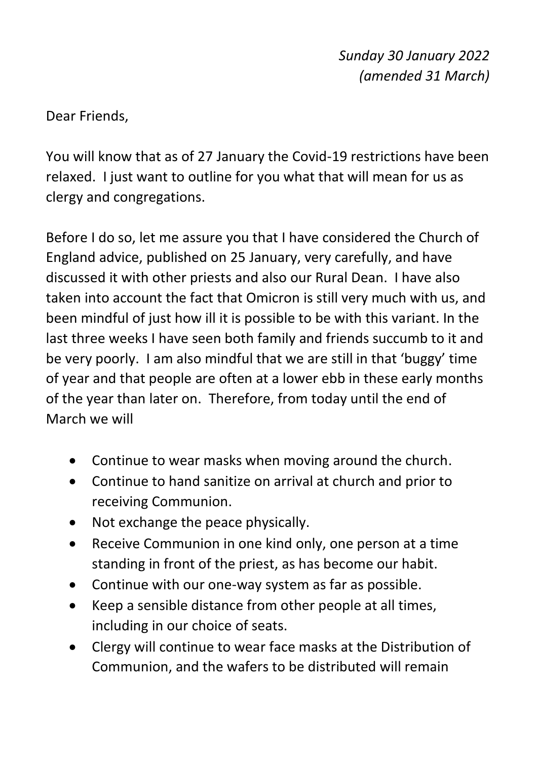Dear Friends,

You will know that as of 27 January the Covid-19 restrictions have been relaxed. I just want to outline for you what that will mean for us as clergy and congregations.

Before I do so, let me assure you that I have considered the Church of England advice, published on 25 January, very carefully, and have discussed it with other priests and also our Rural Dean. I have also taken into account the fact that Omicron is still very much with us, and been mindful of just how ill it is possible to be with this variant. In the last three weeks I have seen both family and friends succumb to it and be very poorly. I am also mindful that we are still in that 'buggy' time of year and that people are often at a lower ebb in these early months of the year than later on. Therefore, from today until the end of March we will

- Continue to wear masks when moving around the church.
- Continue to hand sanitize on arrival at church and prior to receiving Communion.
- Not exchange the peace physically.
- Receive Communion in one kind only, one person at a time standing in front of the priest, as has become our habit.
- Continue with our one-way system as far as possible.
- Keep a sensible distance from other people at all times, including in our choice of seats.
- Clergy will continue to wear face masks at the Distribution of Communion, and the wafers to be distributed will remain